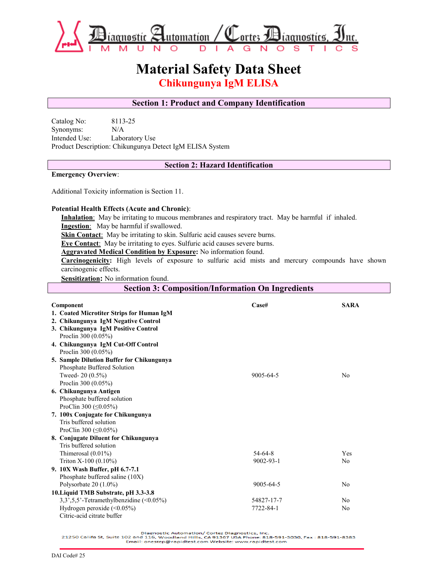

# **Material Safety Data Sheet**

**Chikungunya IgM ELISA** 

# **Section 1: Product and Company Identification**

Catalog No: 8113-25 Synonyms: N/A Intended Use: Laboratory Use Product Description: Chikungunya Detect IgM ELISA System

# **Section 2: Hazard Identification**

#### **Emergency Overview**:

Additional Toxicity information is Section 11.

### **Potential Health Effects (Acute and Chronic)**:

**Inhalation**: May be irritating to mucous membranes and respiratory tract. May be harmful if inhaled. **Ingestion**: May be harmful if swallowed.

**Skin Contact:** May be irritating to skin. Sulfuric acid causes severe burns.

**Eye Contact**: May be irritating to eyes. Sulfuric acid causes severe burns.

**Aggravated Medical Condition by Exposure:** No information found.

**Carcinogenicity:** High levels of exposure to sulfuric acid mists and mercury compounds have shown carcinogenic effects.

**Sensitization:** No information found.

| <b>Section 3: Composition/Information On Ingredients</b> |                 |                |  |
|----------------------------------------------------------|-----------------|----------------|--|
|                                                          |                 |                |  |
| Component                                                | $\bf Case$ #    | <b>SARA</b>    |  |
| 1. Coated Microtiter Strips for Human IgM                |                 |                |  |
| 2. Chikungunya IgM Negative Control                      |                 |                |  |
| 3. Chikungunya IgM Positive Control                      |                 |                |  |
| Proclin 300 (0.05%)                                      |                 |                |  |
| 4. Chikungunya IgM Cut-Off Control                       |                 |                |  |
| Proclin 300 (0.05%)                                      |                 |                |  |
| 5. Sample Dilution Buffer for Chikungunya                |                 |                |  |
| Phosphate Buffered Solution                              |                 |                |  |
| Tweed- $20(0.5\%)$                                       | 9005-64-5       | No             |  |
| Proclin 300 (0.05%)                                      |                 |                |  |
| 6. Chikungunya Antigen                                   |                 |                |  |
| Phosphate buffered solution                              |                 |                |  |
| ProClin 300 ( $\leq$ 0.05%)                              |                 |                |  |
| 7. 100x Conjugate for Chikungunya                        |                 |                |  |
| Tris buffered solution                                   |                 |                |  |
| ProClin 300 ( $\leq$ 0.05%)                              |                 |                |  |
| 8. Conjugate Diluent for Chikungunya                     |                 |                |  |
| Tris buffered solution                                   |                 |                |  |
| Thimerosal $(0.01\%)$                                    | $54 - 64 - 8$   | Yes            |  |
| Triton $X-100$ (0.10%)                                   | $9002 - 93 - 1$ | N <sub>0</sub> |  |
| 9. 10X Wash Buffer, pH 6.7-7.1                           |                 |                |  |
| Phosphate buffered saline (10X)                          |                 |                |  |
| Polysorbate $20(1.0\%)$                                  | 9005-64-5       | N <sub>0</sub> |  |
| 10. Liquid TMB Substrate, pH 3.3-3.8                     |                 |                |  |
| 3,3',5,5'-Tetramethylbenzidine (<0.05%)                  | 54827-17-7      | N <sub>0</sub> |  |
| Hydrogen peroxide $(\leq 0.05\%)$                        | 7722-84-1       | N <sub>0</sub> |  |
| Citric-acid citrate buffer                               |                 |                |  |

Diagnostic Automation/ Cortez Diagnostics, Inc.<br>21250 Califa St, Suite 102 and 116, Woodland Hills, CA 91367 USA Phone: 818-591-3030, Fax : 818-591-8383<br>Email: onestep@rapidtest.com Website: www.rapidtest.com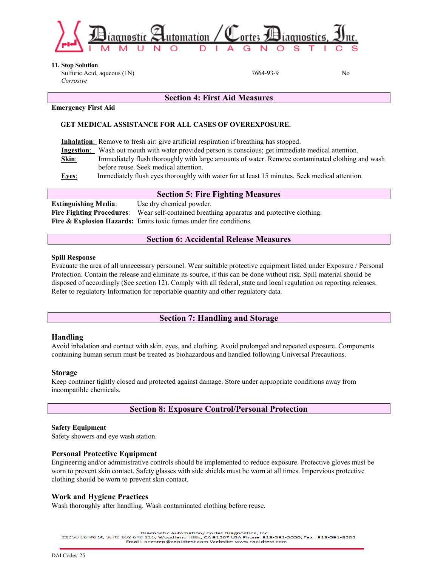

**11. Stop Solution** 

 Sulfuric Acid, aqueous (1N)  *Corrosive*

7664-93-9 No

#### **Emergency First Aid**

## **GET MEDICAL ASSISTANCE FOR ALL CASES OF OVEREXPOSURE.**

**Inhalation**: Remove to fresh air: give artificial respiration if breathing has stopped.

**Ingestion**: Wash out mouth with water provided person is conscious; get immediate medical attention.

**Skin**: Immediately flush thoroughly with large amounts of water. Remove contaminated clothing and wash before reuse. Seek medical attention.

**Section 4: First Aid Measures**

**Eyes**: Immediately flush eyes thoroughly with water for at least 15 minutes. Seek medical attention.

## **Section 5: Fire Fighting Measures**

**Extinguishing Media:** Use dry chemical powder. **Fire Fighting Procedures**: Wear self-contained breathing apparatus and protective clothing. Fire & Explosion Hazards: Emits toxic fumes under fire conditions.

# **Section 6: Accidental Release Measures**

#### **Spill Response**

Evacuate the area of all unnecessary personnel. Wear suitable protective equipment listed under Exposure / Personal Protection. Contain the release and eliminate its source, if this can be done without risk. Spill material should be disposed of accordingly (See section 12). Comply with all federal, state and local regulation on reporting releases. Refer to regulatory Information for reportable quantity and other regulatory data.

## **Section 7: Handling and Storage**

### **Handling**

Avoid inhalation and contact with skin, eyes, and clothing. Avoid prolonged and repeated exposure. Components containing human serum must be treated as biohazardous and handled following Universal Precautions.

### **Storage**

Keep container tightly closed and protected against damage. Store under appropriate conditions away from incompatible chemicals.

# **Section 8: Exposure Control/Personal Protection**

### **Safety Equipment**

Safety showers and eye wash station.

### **Personal Protective Equipment**

Engineering and/or administrative controls should be implemented to reduce exposure. Protective gloves must be worn to prevent skin contact. Safety glasses with side shields must be worn at all times. Impervious protective clothing should be worn to prevent skin contact.

## **Work and Hygiene Practices**

Wash thoroughly after handling. Wash contaminated clothing before reuse.

Diagnostic Automation/ Cortez Diagnostics, Inc.

21250 Califa St, Suite 102 and 116, Woodland Hills, CA 91367 USA Phone: 818-591-3030, Fax: 818-591-8383<br>Email: onestep@rapidtest.com Website: www.rapidtest.com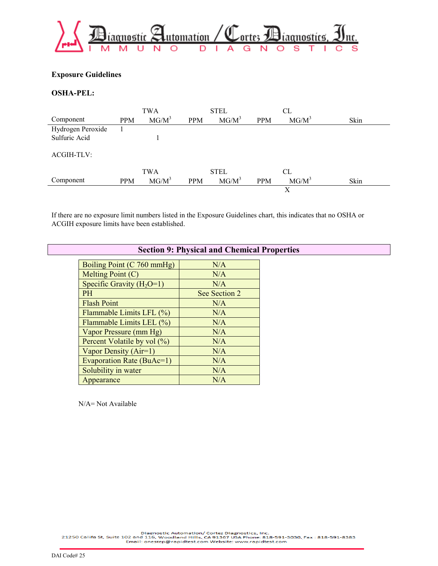

## **Exposure Guidelines**

## **OSHA-PEL:**

|                   |            | <b>TWA</b> |            | <b>STEL</b> |            | CL       |      |
|-------------------|------------|------------|------------|-------------|------------|----------|------|
| Component         | <b>PPM</b> | $MG/M^3$   | <b>PPM</b> | $MG/M^3$    | <b>PPM</b> | $MG/M^3$ | Skin |
| Hydrogen Peroxide |            |            |            |             |            |          |      |
| Sulfuric Acid     |            |            |            |             |            |          |      |
|                   |            |            |            |             |            |          |      |
| <b>ACGIH-TLV:</b> |            |            |            |             |            |          |      |
|                   |            |            |            |             |            |          |      |
|                   |            | <b>TWA</b> |            | <b>STEL</b> |            | CL       |      |
| Component         | <b>PPM</b> | $MG/M^3$   | <b>PPM</b> | $MG/M^3$    | <b>PPM</b> | $MG/M^3$ | Skin |
|                   |            |            |            |             |            | Х        |      |

If there are no exposure limit numbers listed in the Exposure Guidelines chart, this indicates that no OSHA or ACGIH exposure limits have been established.

| <b>Section 9: Physical and Chemical Properties</b> |               |  |  |  |
|----------------------------------------------------|---------------|--|--|--|
| Boiling Point (C 760 mmHg)                         | N/A           |  |  |  |
| Melting Point (C)                                  | N/A           |  |  |  |
| Specific Gravity $(H_2O=1)$                        | N/A           |  |  |  |
| <b>PH</b>                                          | See Section 2 |  |  |  |
| <b>Flash Point</b>                                 | N/A           |  |  |  |
| Flammable Limits LFL (%)                           | N/A           |  |  |  |
| Flammable Limits LEL (%)                           | N/A           |  |  |  |
| Vapor Pressure (mm Hg)                             | N/A           |  |  |  |
| Percent Volatile by vol (%)                        | N/A           |  |  |  |
| Vapor Density (Air=1)                              | N/A           |  |  |  |
| Evaporation Rate (BuAc=1)                          | N/A           |  |  |  |
| Solubility in water                                | N/A           |  |  |  |
| Appearance                                         | N/A           |  |  |  |

N/A= Not Available

Diagnostic Automation/ Cortez Diagnostics, Inc.<br>21250 Califa St, Suite 102 and 116, Woodland Hills, CA 91367 USA Phone: 818-591-3030, Fax : 818-591-8383<br>Email: onestep@rapidtest.com Website: www.rapidtest.com

DAI Code# 25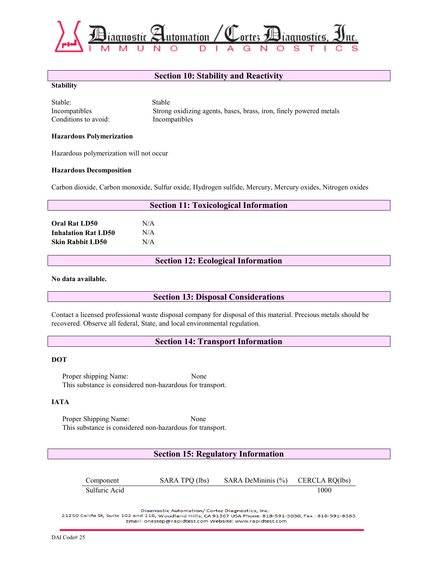

## **Section 10: Stability and Reactivity**

#### **Stability**

| Stable:              | Stable                                                             |
|----------------------|--------------------------------------------------------------------|
| Incompatibles        | Strong oxidizing agents, bases, brass, iron, finely powered metals |
| Conditions to avoid: | Incompatibles                                                      |

#### **Hazardous Polymerization**

Hazardous polymerization will not occur

#### **Hazardous Decomposition**

Carbon dioxide, Carbon monoxide, Sulfur oxide, Hydrogen sulfide, Mercury, Mercury oxides, Nitrogen oxides

| <b>Section 11: Toxicological Information</b> |     |  |  |
|----------------------------------------------|-----|--|--|
| <b>Oral Rat LD50</b>                         | N/A |  |  |
| <b>Inhalation Rat LD50</b>                   | N/A |  |  |
| <b>Skin Rabbit LD50</b>                      | N/A |  |  |
|                                              |     |  |  |

**Section 12: Ecological Information**

**No data available.**

## **Section 13: Disposal Considerations**

Contact a licensed professional waste disposal company for disposal of this material. Precious metals should be recovered. Observe all federal, State, and local environmental regulation.

## **Section 14: Transport Information**

#### **DOT**

Proper shipping Name: None This substance is considered non-hazardous for transport.

#### **IATA**

Proper Shipping Name: None This substance is considered non-hazardous for transport.

## **Section 15: Regulatory Information**

| Component     | SARA TPQ (lbs) | SARA DeMininis $(\% )$ | CERCLA RQ(lbs) |
|---------------|----------------|------------------------|----------------|
| Sulfuric Acid |                |                        | 1000           |

Diagnostic Automation/ Cortez Diagnostics, Inc.

21250 Califa St, Suite 102 and 116, Woodland Hills, CA 91367 USA Phone: 818-591-3030, Fax: 818-591-8383 Email: onestep@rapidtest.com Website: www.rapidtest.com